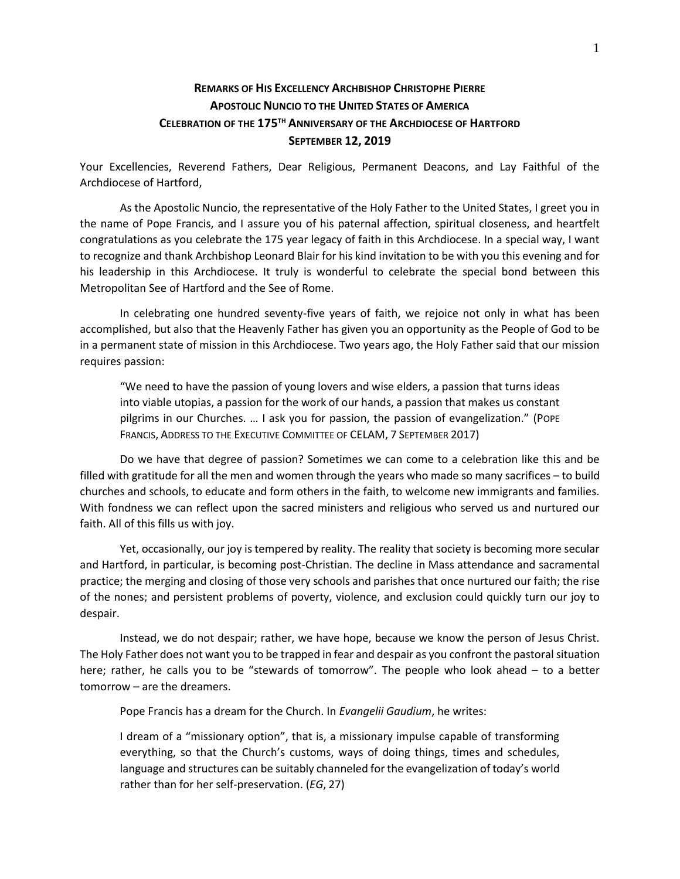## **REMARKS OF HIS EXCELLENCY ARCHBISHOP CHRISTOPHE PIERRE APOSTOLIC NUNCIO TO THE UNITED STATES OF AMERICA CELEBRATION OF THE 175TH ANNIVERSARY OF THE ARCHDIOCESE OF HARTFORD SEPTEMBER 12, 2019**

Your Excellencies, Reverend Fathers, Dear Religious, Permanent Deacons, and Lay Faithful of the Archdiocese of Hartford,

As the Apostolic Nuncio, the representative of the Holy Father to the United States, I greet you in the name of Pope Francis, and I assure you of his paternal affection, spiritual closeness, and heartfelt congratulations as you celebrate the 175 year legacy of faith in this Archdiocese. In a special way, I want to recognize and thank Archbishop Leonard Blair for his kind invitation to be with you this evening and for his leadership in this Archdiocese. It truly is wonderful to celebrate the special bond between this Metropolitan See of Hartford and the See of Rome.

In celebrating one hundred seventy-five years of faith, we rejoice not only in what has been accomplished, but also that the Heavenly Father has given you an opportunity as the People of God to be in a permanent state of mission in this Archdiocese. Two years ago, the Holy Father said that our mission requires passion:

"We need to have the passion of young lovers and wise elders, a passion that turns ideas into viable utopias, a passion for the work of our hands, a passion that makes us constant pilgrims in our Churches. … I ask you for passion, the passion of evangelization." (POPE FRANCIS, ADDRESS TO THE EXECUTIVE COMMITTEE OF CELAM, 7 SEPTEMBER 2017)

Do we have that degree of passion? Sometimes we can come to a celebration like this and be filled with gratitude for all the men and women through the years who made so many sacrifices – to build churches and schools, to educate and form others in the faith, to welcome new immigrants and families. With fondness we can reflect upon the sacred ministers and religious who served us and nurtured our faith. All of this fills us with joy.

Yet, occasionally, our joy is tempered by reality. The reality that society is becoming more secular and Hartford, in particular, is becoming post-Christian. The decline in Mass attendance and sacramental practice; the merging and closing of those very schools and parishes that once nurtured our faith; the rise of the nones; and persistent problems of poverty, violence, and exclusion could quickly turn our joy to despair.

Instead, we do not despair; rather, we have hope, because we know the person of Jesus Christ. The Holy Father does not want you to be trapped in fear and despair as you confront the pastoral situation here; rather, he calls you to be "stewards of tomorrow". The people who look ahead – to a better tomorrow – are the dreamers.

Pope Francis has a dream for the Church. In *Evangelii Gaudium*, he writes:

I dream of a "missionary option", that is, a missionary impulse capable of transforming everything, so that the Church's customs, ways of doing things, times and schedules, language and structures can be suitably channeled for the evangelization of today's world rather than for her self-preservation. (*EG*, 27)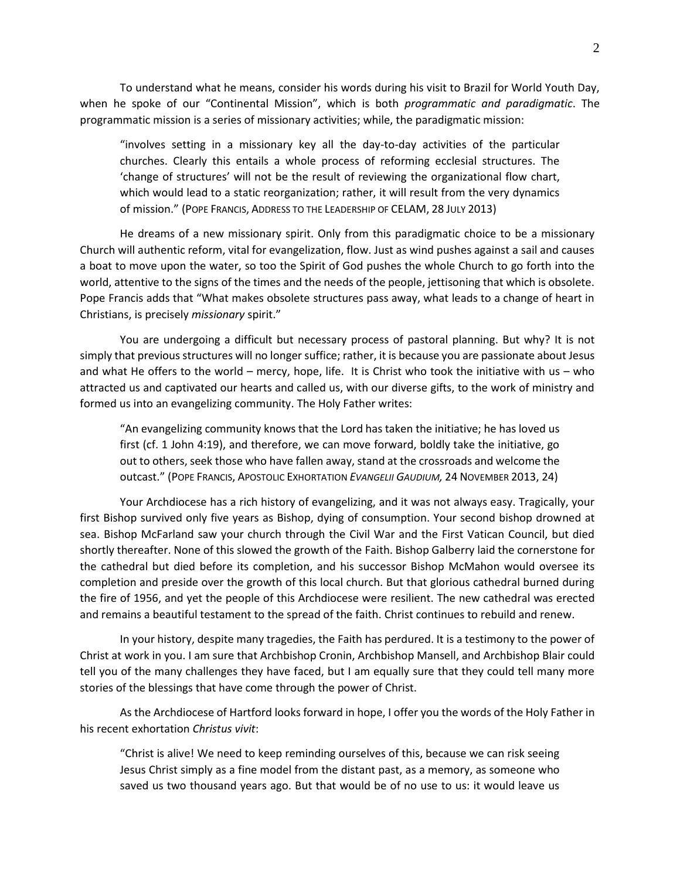To understand what he means, consider his words during his visit to Brazil for World Youth Day, when he spoke of our "Continental Mission", which is both *programmatic and paradigmatic*. The programmatic mission is a series of missionary activities; while, the paradigmatic mission:

"involves setting in a missionary key all the day-to-day activities of the particular churches. Clearly this entails a whole process of reforming ecclesial structures. The 'change of structures' will not be the result of reviewing the organizational flow chart, which would lead to a static reorganization; rather, it will result from the very dynamics of mission." (POPE FRANCIS, ADDRESS TO THE LEADERSHIP OF CELAM, 28 JULY 2013)

He dreams of a new missionary spirit. Only from this paradigmatic choice to be a missionary Church will authentic reform, vital for evangelization, flow. Just as wind pushes against a sail and causes a boat to move upon the water, so too the Spirit of God pushes the whole Church to go forth into the world, attentive to the signs of the times and the needs of the people, jettisoning that which is obsolete. Pope Francis adds that "What makes obsolete structures pass away, what leads to a change of heart in Christians, is precisely *missionary* spirit."

You are undergoing a difficult but necessary process of pastoral planning. But why? It is not simply that previous structures will no longer suffice; rather, it is because you are passionate about Jesus and what He offers to the world – mercy, hope, life. It is Christ who took the initiative with us – who attracted us and captivated our hearts and called us, with our diverse gifts, to the work of ministry and formed us into an evangelizing community. The Holy Father writes:

"An evangelizing community knows that the Lord has taken the initiative; he has loved us first (cf. 1 John 4:19), and therefore, we can move forward, boldly take the initiative, go out to others, seek those who have fallen away, stand at the crossroads and welcome the outcast." (POPE FRANCIS, APOSTOLIC EXHORTATION *EVANGELII GAUDIUM,* 24 NOVEMBER 2013, 24)

Your Archdiocese has a rich history of evangelizing, and it was not always easy. Tragically, your first Bishop survived only five years as Bishop, dying of consumption. Your second bishop drowned at sea. Bishop McFarland saw your church through the Civil War and the First Vatican Council, but died shortly thereafter. None of this slowed the growth of the Faith. Bishop Galberry laid the cornerstone for the cathedral but died before its completion, and his successor Bishop McMahon would oversee its completion and preside over the growth of this local church. But that glorious cathedral burned during the fire of 1956, and yet the people of this Archdiocese were resilient. The new cathedral was erected and remains a beautiful testament to the spread of the faith. Christ continues to rebuild and renew.

In your history, despite many tragedies, the Faith has perdured. It is a testimony to the power of Christ at work in you. I am sure that Archbishop Cronin, Archbishop Mansell, and Archbishop Blair could tell you of the many challenges they have faced, but I am equally sure that they could tell many more stories of the blessings that have come through the power of Christ.

As the Archdiocese of Hartford looks forward in hope, I offer you the words of the Holy Father in his recent exhortation *Christus vivit*:

"Christ is alive! We need to keep reminding ourselves of this, because we can risk seeing Jesus Christ simply as a fine model from the distant past, as a memory, as someone who saved us two thousand years ago. But that would be of no use to us: it would leave us